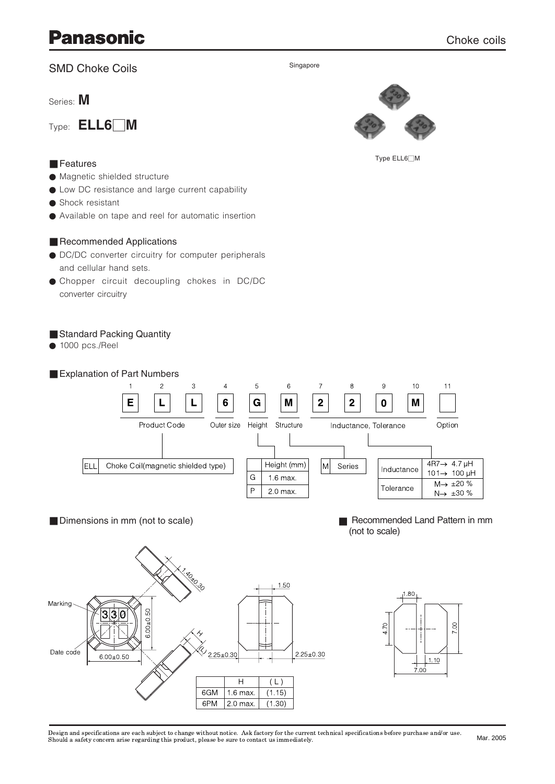# **Panasonic**

### **SMD Choke Coils**

Series: M

Features



#### Singapore



Type ELL6∏M

- Magnetic shielded structure
- Low DC resistance and large current capability
- Shock resistant
- Available on tape and reel for automatic insertion

### Recommended Applications

- DC/DC converter circuitry for computer peripherals and cellular hand sets.
- **Chopper circuit decoupling chokes in DC/DC** converter circuitry

### Standard Packing Quantity

 $\bullet$  1000 pcs./Reel



Design and specifications are each subject to change without notice. Ask factory for the current technical specifications before purchase and/or use.<br>Should a safety concern arise regarding this product, please be sure to

 $(L)$ 

 $(1.15)$ 

 $(1.30)$ 

 $\overline{H}$ 

 $1.6$  max

 $2.0<sub>max</sub>$ 

6GM

6PM